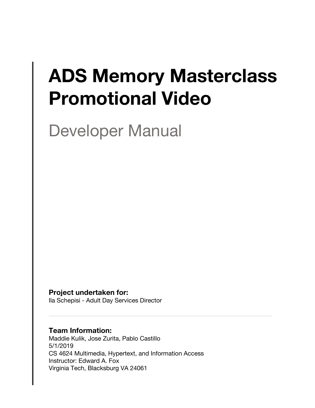# **ADS Memory Masterclass Promotional Video**

Developer Manual

**Project undertaken for:**

Ila Schepisi - Adult Day Services Director

#### **Team Information:**

Maddie Kulik, Jose Zurita, Pablo Castillo 5/1/2019 CS 4624 Multimedia, Hypertext, and Information Access Instructor: Edward A. Fox Virginia Tech, Blacksburg VA 24061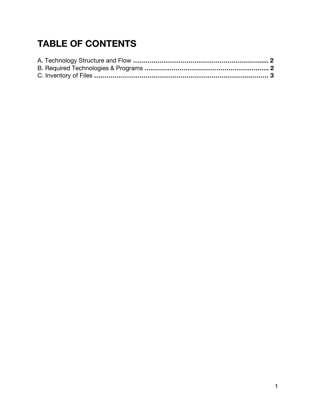# **TABLE OF CONTENTS**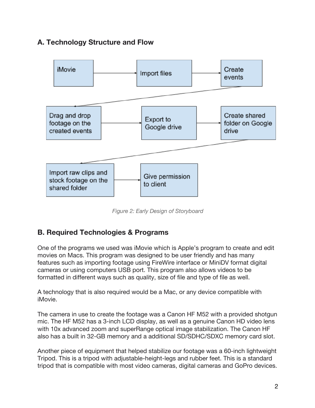## **A. Technology Structure and Flow**



*Figure 2: Early Design of Storyboard*

#### **B. Required Technologies & Programs**

One of the programs we used was iMovie which is Apple's program to create and edit movies on Macs. This program was designed to be user friendly and has many features such as importing footage using FireWire interface or MiniDV format digital cameras or using computers USB port. This program also allows videos to be formatted in different ways such as quality, size of file and type of file as well.

A technology that is also required would be a Mac, or any device compatible with iMovie.

The camera in use to create the footage was a Canon HF M52 with a provided shotgun mic. The HF M52 has a 3-inch LCD display, as well as a genuine Canon HD video lens with 10x advanced zoom and superRange optical image stabilization. The Canon HF also has a built in 32-GB memory and a additional SD/SDHC/SDXC memory card slot.

Another piece of equipment that helped stabilize our footage was a 60-inch lightweight Tripod. This is a tripod with adjustable-height-legs and rubber feet. This is a standard tripod that is compatible with most video cameras, digital cameras and GoPro devices.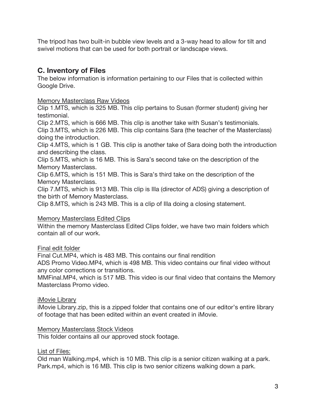The tripod has two built-in bubble view levels and a 3-way head to allow for tilt and swivel motions that can be used for both portrait or landscape views.

### **C. Inventory of Files**

The below information is information pertaining to our Files that is collected within Google Drive.

Memory Masterclass Raw Videos

Clip 1.MTS, which is 325 MB. This clip pertains to Susan (former student) giving her testimonial.

Clip 2.MTS, which is 666 MB. This clip is another take with Susan's testimonials. Clip 3.MTS, which is 226 MB. This clip contains Sara (the teacher of the Masterclass) doing the introduction.

Clip 4.MTS, which is 1 GB. This clip is another take of Sara doing both the introduction and describing the class.

Clip 5.MTS, which is 16 MB. This is Sara's second take on the description of the Memory Masterclass.

Clip 6.MTS, which is 151 MB. This is Sara's third take on the description of the Memory Masterclass.

Clip 7.MTS, which is 913 MB. This clip is Illa (director of ADS) giving a description of the birth of Memory Masterclass.

Clip 8.MTS, which is 243 MB. This is a clip of Illa doing a closing statement.

#### Memory Masterclass Edited Clips

Within the memory Masterclass Edited Clips folder, we have two main folders which contain all of our work.

#### Final edit folder

Final Cut.MP4, which is 483 MB. This contains our final rendition

ADS Promo Video.MP4, which is 498 MB. This video contains our final video without any color corrections or transitions.

MMFinal.MP4, which is 517 MB. This video is our final video that contains the Memory Masterclass Promo video.

#### iMovie Library

iMovie Library.zip, this is a zipped folder that contains one of our editor's entire library of footage that has been edited within an event created in iMovie.

#### Memory Masterclass Stock Videos

This folder contains all our approved stock footage.

List of Files:

Old man Walking.mp4, which is 10 MB. This clip is a senior citizen walking at a park. Park.mp4, which is 16 MB. This clip is two senior citizens walking down a park.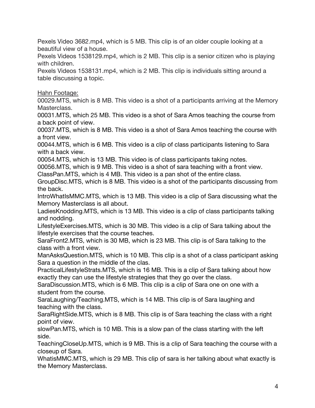Pexels Video 3682.mp4, which is 5 MB. This clip is of an older couple looking at a beautiful view of a house.

Pexels Videos 1538129.mp4, which is 2 MB. This clip is a senior citizen who is playing with children.

Pexels Videos 1538131.mp4, which is 2 MB. This clip is individuals sitting around a table discussing a topic.

Hahn Footage:

00029.MTS, which is 8 MB. This video is a shot of a participants arriving at the Memory Masterclass.

00031.MTS, which 25 MB. This video is a shot of Sara Amos teaching the course from a back point of view.

00037.MTS, which is 8 MB. This video is a shot of Sara Amos teaching the course with a front view.

00044.MTS, which is 6 MB. This video is a clip of class participants listening to Sara with a back view.

00054.MTS, which is 13 MB. This video is of class participants taking notes.

00056.MTS, which is 9 MB. This video is a shot of sara teaching with a front view.

ClassPan.MTS, which is 4 MB. This video is a pan shot of the entire class.

GroupDisc.MTS, which is 8 MB. This video is a shot of the participants discussing from the back.

IntroWhatIsMMC.MTS, which is 13 MB. This video is a clip of Sara discussing what the Memory Masterclass is all about.

LadiesKnodding.MTS, which is 13 MB. This video is a clip of class participants talking and nodding.

LifestyleExercises.MTS, which is 30 MB. This video is a clip of Sara talking about the lifestyle exercises that the course teaches.

SaraFront2.MTS, which is 30 MB, which is 23 MB. This clip is of Sara talking to the class with a front view.

ManAsksQuestion.MTS, which is 10 MB. This clip is a shot of a class participant asking Sara a question in the middle of the clas.

PracticalLifestyleStrats.MTS, which is 16 MB. This is a clip of Sara talking about how exactly they can use the lifestyle strategies that they go over the class.

SaraDiscussion.MTS, which is 6 MB. This clip is a clip of Sara one on one with a student from the course.

SaraLaughing/Teaching.MTS, which is 14 MB. This clip is of Sara laughing and teaching with the class.

SaraRightSide.MTS, which is 8 MB. This clip is of Sara teaching the class with a right point of view.

slowPan.MTS, which is 10 MB. This is a slow pan of the class starting with the left side.

TeachingCloseUp.MTS, which is 9 MB. This is a clip of Sara teaching the course with a closeup of Sara.

WhatisMMC.MTS, which is 29 MB. This clip of sara is her talking about what exactly is the Memory Masterclass.